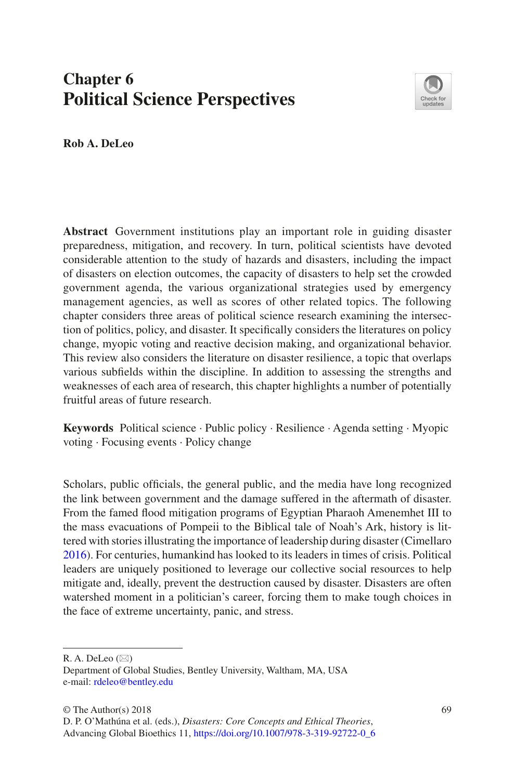# **Chapter 6 Political Science Perspectives**



**Rob A. DeLeo**

**Abstract** Government institutions play an important role in guiding disaster preparedness, mitigation, and recovery. In turn, political scientists have devoted considerable attention to the study of hazards and disasters, including the impact of disasters on election outcomes, the capacity of disasters to help set the crowded government agenda, the various organizational strategies used by emergency management agencies, as well as scores of other related topics. The following chapter considers three areas of political science research examining the intersection of politics, policy, and disaster. It specifically considers the literatures on policy change, myopic voting and reactive decision making, and organizational behavior. This review also considers the literature on disaster resilience, a topic that overlaps various subfields within the discipline. In addition to assessing the strengths and weaknesses of each area of research, this chapter highlights a number of potentially fruitful areas of future research.

**Keywords** Political science · Public policy · Resilience · Agenda setting · Myopic voting · Focusing events · Policy change

Scholars, public officials, the general public, and the media have long recognized the link between government and the damage suffered in the aftermath of disaster. From the famed flood mitigation programs of Egyptian Pharaoh Amenemhet III to the mass evacuations of Pompeii to the Biblical tale of Noah's Ark, history is littered with stories illustrating the importance of leadership during disaster (Cimellaro [2016\)](#page-14-0). For centuries, humankind has looked to its leaders in times of crisis. Political leaders are uniquely positioned to leverage our collective social resources to help mitigate and, ideally, prevent the destruction caused by disaster. Disasters are often watershed moment in a politician's career, forcing them to make tough choices in the face of extreme uncertainty, panic, and stress.

R. A. DeLeo  $(\boxtimes)$ 

 $\odot$  The Author(s) 2018 69 D. P. O'Mathúna et al. (eds.), *Disasters: Core Concepts and Ethical Theories*, Advancing Global Bioethics 11, [https://doi.org/10.1007/978-3-319-92722-0\\_6](https://doi.org/10.1007/978-3-319-92722-0_6)

Department of Global Studies, Bentley University, Waltham, MA, USA e-mail: [rdeleo@bentley.edu](mailto:rdeleo@bentley.edu)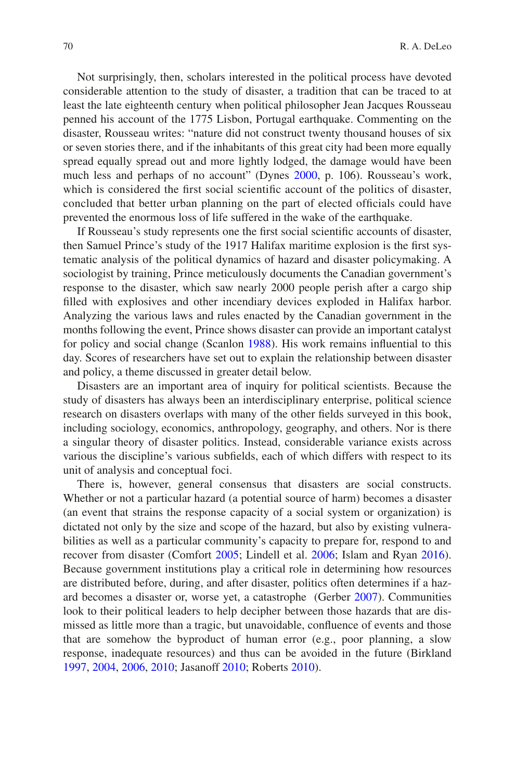Not surprisingly, then, scholars interested in the political process have devoted considerable attention to the study of disaster, a tradition that can be traced to at least the late eighteenth century when political philosopher Jean Jacques Rousseau penned his account of the 1775 Lisbon, Portugal earthquake. Commenting on the disaster, Rousseau writes: "nature did not construct twenty thousand houses of six or seven stories there, and if the inhabitants of this great city had been more equally spread equally spread out and more lightly lodged, the damage would have been much less and perhaps of no account" (Dynes [2000,](#page-14-1) p. 106). Rousseau's work, which is considered the first social scientific account of the politics of disaster, concluded that better urban planning on the part of elected officials could have prevented the enormous loss of life suffered in the wake of the earthquake.

If Rousseau's study represents one the first social scientific accounts of disaster, then Samuel Prince's study of the 1917 Halifax maritime explosion is the first systematic analysis of the political dynamics of hazard and disaster policymaking. A sociologist by training, Prince meticulously documents the Canadian government's response to the disaster, which saw nearly 2000 people perish after a cargo ship filled with explosives and other incendiary devices exploded in Halifax harbor. Analyzing the various laws and rules enacted by the Canadian government in the months following the event, Prince shows disaster can provide an important catalyst for policy and social change (Scanlon [1988](#page-16-0)). His work remains influential to this day. Scores of researchers have set out to explain the relationship between disaster and policy, a theme discussed in greater detail below.

Disasters are an important area of inquiry for political scientists. Because the study of disasters has always been an interdisciplinary enterprise, political science research on disasters overlaps with many of the other fields surveyed in this book, including sociology, economics, anthropology, geography, and others. Nor is there a singular theory of disaster politics. Instead, considerable variance exists across various the discipline's various subfields, each of which differs with respect to its unit of analysis and conceptual foci.

There is, however, general consensus that disasters are social constructs. Whether or not a particular hazard (a potential source of harm) becomes a disaster (an event that strains the response capacity of a social system or organization) is dictated not only by the size and scope of the hazard, but also by existing vulnerabilities as well as a particular community's capacity to prepare for, respond to and recover from disaster (Comfort [2005](#page-14-2); Lindell et al. [2006;](#page-15-0) Islam and Ryan [2016\)](#page-14-3). Because government institutions play a critical role in determining how resources are distributed before, during, and after disaster, politics often determines if a hazard becomes a disaster or, worse yet, a catastrophe (Gerber [2007\)](#page-14-4). Communities look to their political leaders to help decipher between those hazards that are dismissed as little more than a tragic, but unavoidable, confluence of events and those that are somehow the byproduct of human error (e.g., poor planning, a slow response, inadequate resources) and thus can be avoided in the future (Birkland [1997,](#page-13-0) [2004,](#page-13-1) [2006,](#page-13-2) [2010;](#page-13-3) Jasanoff [2010;](#page-14-5) Roberts [2010\)](#page-15-1).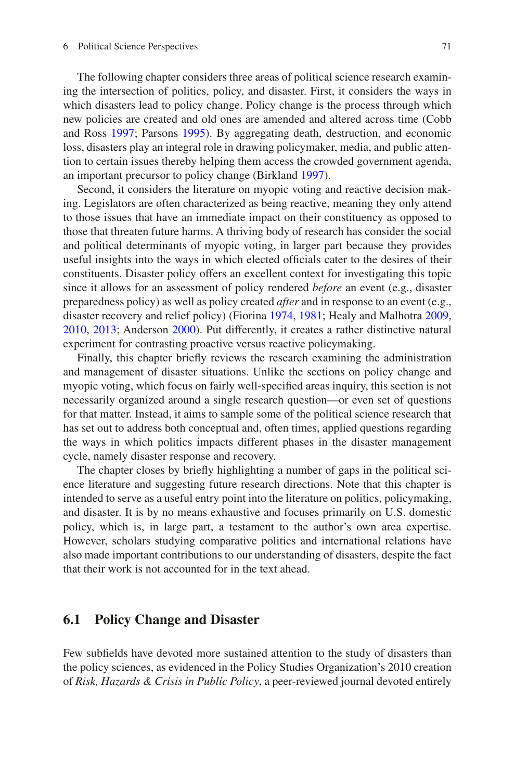The following chapter considers three areas of political science research examining the intersection of politics, policy, and disaster. First, it considers the ways in which disasters lead to policy change. Policy change is the process through which new policies are created and old ones are amended and altered across time (Cobb and Ross [1997;](#page-14-6) Parsons [1995\)](#page-15-2). By aggregating death, destruction, and economic loss, disasters play an integral role in drawing policymaker, media, and public attention to certain issues thereby helping them access the crowded government agenda, an important precursor to policy change (Birkland [1997\)](#page-13-0).

Second, it considers the literature on myopic voting and reactive decision making. Legislators are often characterized as being reactive, meaning they only attend to those issues that have an immediate impact on their constituency as opposed to those that threaten future harms. A thriving body of research has consider the social and political determinants of myopic voting, in larger part because they provides useful insights into the ways in which elected officials cater to the desires of their constituents. Disaster policy offers an excellent context for investigating this topic since it allows for an assessment of policy rendered *before* an event (e.g., disaster preparedness policy) as well as policy created *after* and in response to an event (e.g., disaster recovery and relief policy) (Fiorina [1974](#page-14-7), [1981](#page-14-8); Healy and Malhotra [2009](#page-14-9), [2010,](#page-14-10) [2013;](#page-14-11) Anderson [2000\)](#page-13-4). Put differently, it creates a rather distinctive natural experiment for contrasting proactive versus reactive policymaking.

Finally, this chapter briefly reviews the research examining the administration and management of disaster situations. Unlike the sections on policy change and myopic voting, which focus on fairly well-specified areas inquiry, this section is not necessarily organized around a single research question—or even set of questions for that matter. Instead, it aims to sample some of the political science research that has set out to address both conceptual and, often times, applied questions regarding the ways in which politics impacts different phases in the disaster management cycle, namely disaster response and recovery.

The chapter closes by briefly highlighting a number of gaps in the political science literature and suggesting future research directions. Note that this chapter is intended to serve as a useful entry point into the literature on politics, policymaking, and disaster. It is by no means exhaustive and focuses primarily on U.S. domestic policy, which is, in large part, a testament to the author's own area expertise. However, scholars studying comparative politics and international relations have also made important contributions to our understanding of disasters, despite the fact that their work is not accounted for in the text ahead.

## **6.1 Policy Change and Disaster**

Few subfields have devoted more sustained attention to the study of disasters than the policy sciences, as evidenced in the Policy Studies Organization's 2010 creation of *Risk, Hazards & Crisis in Public Policy*, a peer-reviewed journal devoted entirely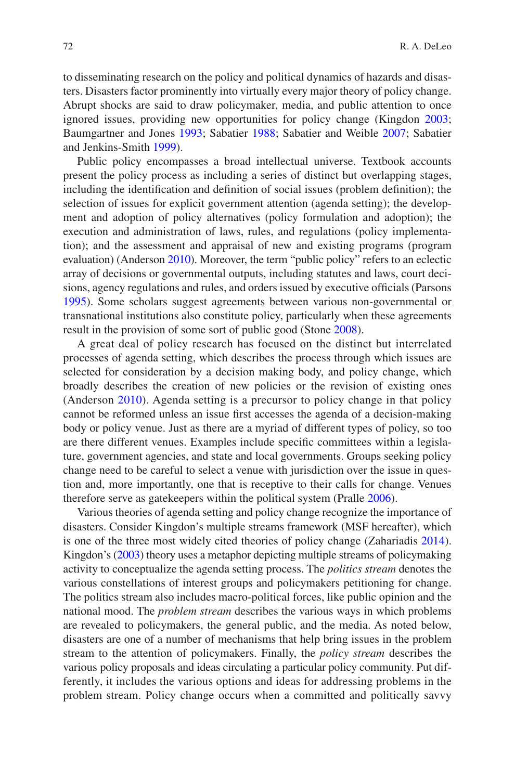to disseminating research on the policy and political dynamics of hazards and disasters. Disasters factor prominently into virtually every major theory of policy change. Abrupt shocks are said to draw policymaker, media, and public attention to once ignored issues, providing new opportunities for policy change (Kingdon [2003;](#page-14-12) Baumgartner and Jones [1993;](#page-13-5) Sabatier [1988](#page-15-3); Sabatier and Weible [2007;](#page-16-1) Sabatier and Jenkins-Smith [1999\)](#page-15-4).

Public policy encompasses a broad intellectual universe. Textbook accounts present the policy process as including a series of distinct but overlapping stages, including the identification and definition of social issues (problem definition); the selection of issues for explicit government attention (agenda setting); the development and adoption of policy alternatives (policy formulation and adoption); the execution and administration of laws, rules, and regulations (policy implementation); and the assessment and appraisal of new and existing programs (program evaluation) (Anderson [2010\)](#page-13-6). Moreover, the term "public policy" refers to an eclectic array of decisions or governmental outputs, including statutes and laws, court decisions, agency regulations and rules, and orders issued by executive officials (Parsons [1995\)](#page-15-2). Some scholars suggest agreements between various non-governmental or transnational institutions also constitute policy, particularly when these agreements result in the provision of some sort of public good (Stone [2008](#page-16-2)).

A great deal of policy research has focused on the distinct but interrelated processes of agenda setting, which describes the process through which issues are selected for consideration by a decision making body, and policy change, which broadly describes the creation of new policies or the revision of existing ones (Anderson [2010](#page-13-6)). Agenda setting is a precursor to policy change in that policy cannot be reformed unless an issue first accesses the agenda of a decision-making body or policy venue. Just as there are a myriad of different types of policy, so too are there different venues. Examples include specific committees within a legislature, government agencies, and state and local governments. Groups seeking policy change need to be careful to select a venue with jurisdiction over the issue in question and, more importantly, one that is receptive to their calls for change. Venues therefore serve as gatekeepers within the political system (Pralle [2006\)](#page-15-5).

Various theories of agenda setting and policy change recognize the importance of disasters. Consider Kingdon's multiple streams framework (MSF hereafter), which is one of the three most widely cited theories of policy change (Zahariadis [2014\)](#page-16-3). Kingdon's [\(2003\)](#page-14-12) theory uses a metaphor depicting multiple streams of policymaking activity to conceptualize the agenda setting process. The *politics stream* denotes the various constellations of interest groups and policymakers petitioning for change. The politics stream also includes macro-political forces, like public opinion and the national mood. The *problem stream* describes the various ways in which problems are revealed to policymakers, the general public, and the media. As noted below, disasters are one of a number of mechanisms that help bring issues in the problem stream to the attention of policymakers. Finally, the *policy stream* describes the various policy proposals and ideas circulating a particular policy community. Put differently, it includes the various options and ideas for addressing problems in the problem stream. Policy change occurs when a committed and politically savvy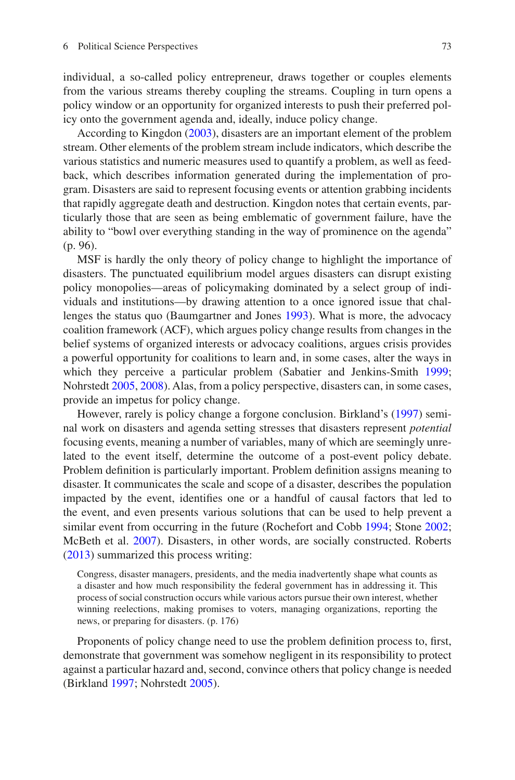individual, a so-called policy entrepreneur, draws together or couples elements from the various streams thereby coupling the streams. Coupling in turn opens a policy window or an opportunity for organized interests to push their preferred policy onto the government agenda and, ideally, induce policy change.

According to Kingdon ([2003\)](#page-14-12), disasters are an important element of the problem stream. Other elements of the problem stream include indicators, which describe the various statistics and numeric measures used to quantify a problem, as well as feedback, which describes information generated during the implementation of program. Disasters are said to represent focusing events or attention grabbing incidents that rapidly aggregate death and destruction. Kingdon notes that certain events, particularly those that are seen as being emblematic of government failure, have the ability to "bowl over everything standing in the way of prominence on the agenda" (p. 96).

MSF is hardly the only theory of policy change to highlight the importance of disasters. The punctuated equilibrium model argues disasters can disrupt existing policy monopolies—areas of policymaking dominated by a select group of individuals and institutions—by drawing attention to a once ignored issue that challenges the status quo (Baumgartner and Jones [1993](#page-13-5)). What is more, the advocacy coalition framework (ACF), which argues policy change results from changes in the belief systems of organized interests or advocacy coalitions, argues crisis provides a powerful opportunity for coalitions to learn and, in some cases, alter the ways in which they perceive a particular problem (Sabatier and Jenkins-Smith [1999;](#page-15-4) Nohrstedt [2005](#page-15-6), [2008\)](#page-15-7). Alas, from a policy perspective, disasters can, in some cases, provide an impetus for policy change.

However, rarely is policy change a forgone conclusion. Birkland's [\(1997](#page-13-0)) seminal work on disasters and agenda setting stresses that disasters represent *potential* focusing events, meaning a number of variables, many of which are seemingly unrelated to the event itself, determine the outcome of a post-event policy debate. Problem definition is particularly important. Problem definition assigns meaning to disaster. It communicates the scale and scope of a disaster, describes the population impacted by the event, identifies one or a handful of causal factors that led to the event, and even presents various solutions that can be used to help prevent a similar event from occurring in the future (Rochefort and Cobb [1994;](#page-15-8) Stone [2002;](#page-16-4) McBeth et al. [2007\)](#page-15-9). Disasters, in other words, are socially constructed. Roberts [\(2013](#page-15-10)) summarized this process writing:

Congress, disaster managers, presidents, and the media inadvertently shape what counts as a disaster and how much responsibility the federal government has in addressing it. This process of social construction occurs while various actors pursue their own interest, whether winning reelections, making promises to voters, managing organizations, reporting the news, or preparing for disasters. (p. 176)

Proponents of policy change need to use the problem definition process to, first, demonstrate that government was somehow negligent in its responsibility to protect against a particular hazard and, second, convince others that policy change is needed (Birkland [1997;](#page-13-0) Nohrstedt [2005\)](#page-15-6).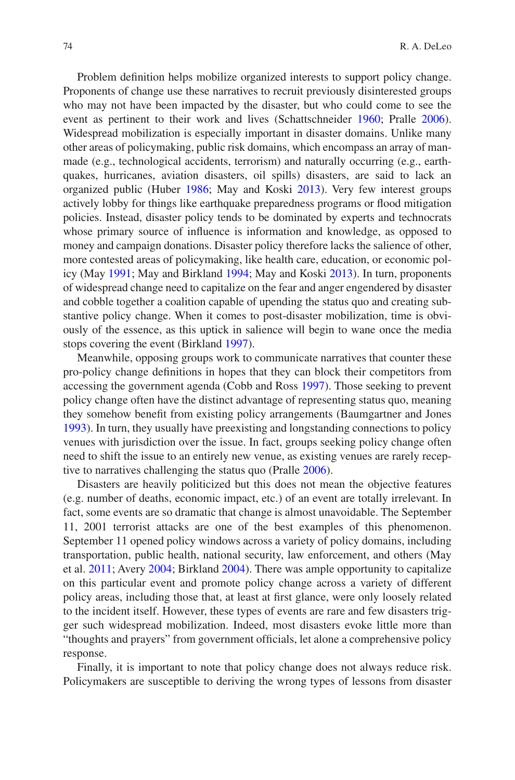Problem definition helps mobilize organized interests to support policy change. Proponents of change use these narratives to recruit previously disinterested groups who may not have been impacted by the disaster, but who could come to see the event as pertinent to their work and lives (Schattschneider [1960;](#page-16-5) Pralle [2006\)](#page-15-5). Widespread mobilization is especially important in disaster domains. Unlike many other areas of policymaking, public risk domains, which encompass an array of manmade (e.g., technological accidents, terrorism) and naturally occurring (e.g., earthquakes, hurricanes, aviation disasters, oil spills) disasters, are said to lack an organized public (Huber [1986](#page-14-13); May and Koski [2013\)](#page-15-11). Very few interest groups actively lobby for things like earthquake preparedness programs or flood mitigation policies. Instead, disaster policy tends to be dominated by experts and technocrats whose primary source of influence is information and knowledge, as opposed to money and campaign donations. Disaster policy therefore lacks the salience of other, more contested areas of policymaking, like health care, education, or economic policy (May [1991](#page-15-12); May and Birkland [1994](#page-15-13); May and Koski [2013](#page-15-11)). In turn, proponents of widespread change need to capitalize on the fear and anger engendered by disaster and cobble together a coalition capable of upending the status quo and creating substantive policy change. When it comes to post-disaster mobilization, time is obviously of the essence, as this uptick in salience will begin to wane once the media stops covering the event (Birkland [1997\)](#page-13-0).

Meanwhile, opposing groups work to communicate narratives that counter these pro-policy change definitions in hopes that they can block their competitors from accessing the government agenda (Cobb and Ross [1997](#page-14-6)). Those seeking to prevent policy change often have the distinct advantage of representing status quo, meaning they somehow benefit from existing policy arrangements (Baumgartner and Jones [1993\)](#page-13-5). In turn, they usually have preexisting and longstanding connections to policy venues with jurisdiction over the issue. In fact, groups seeking policy change often need to shift the issue to an entirely new venue, as existing venues are rarely receptive to narratives challenging the status quo (Pralle [2006\)](#page-15-5).

Disasters are heavily politicized but this does not mean the objective features (e.g. number of deaths, economic impact, etc.) of an event are totally irrelevant. In fact, some events are so dramatic that change is almost unavoidable. The September 11, 2001 terrorist attacks are one of the best examples of this phenomenon. September 11 opened policy windows across a variety of policy domains, including transportation, public health, national security, law enforcement, and others (May et al. [2011;](#page-15-14) Avery [2004;](#page-13-7) Birkland [2004](#page-13-1)). There was ample opportunity to capitalize on this particular event and promote policy change across a variety of different policy areas, including those that, at least at first glance, were only loosely related to the incident itself. However, these types of events are rare and few disasters trigger such widespread mobilization. Indeed, most disasters evoke little more than "thoughts and prayers" from government officials, let alone a comprehensive policy response.

Finally, it is important to note that policy change does not always reduce risk. Policymakers are susceptible to deriving the wrong types of lessons from disaster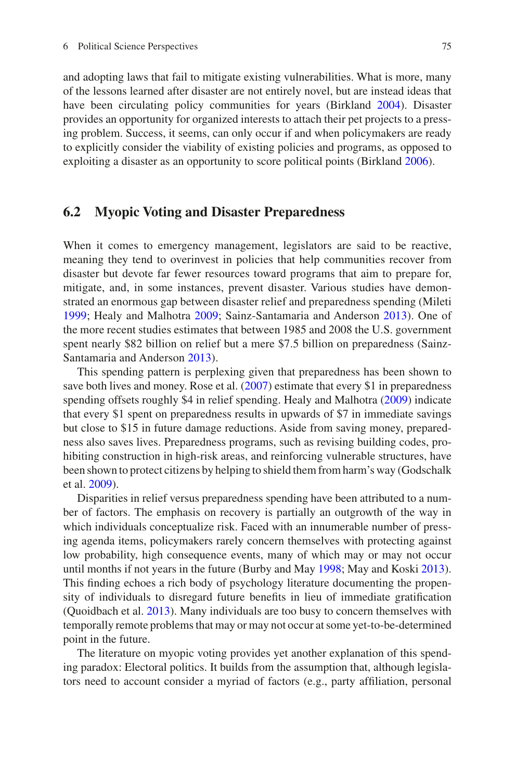and adopting laws that fail to mitigate existing vulnerabilities. What is more, many of the lessons learned after disaster are not entirely novel, but are instead ideas that have been circulating policy communities for years (Birkland [2004\)](#page-13-1). Disaster provides an opportunity for organized interests to attach their pet projects to a pressing problem. Success, it seems, can only occur if and when policymakers are ready to explicitly consider the viability of existing policies and programs, as opposed to exploiting a disaster as an opportunity to score political points (Birkland [2006\)](#page-13-2).

### **6.2 Myopic Voting and Disaster Preparedness**

When it comes to emergency management, legislators are said to be reactive, meaning they tend to overinvest in policies that help communities recover from disaster but devote far fewer resources toward programs that aim to prepare for, mitigate, and, in some instances, prevent disaster. Various studies have demonstrated an enormous gap between disaster relief and preparedness spending (Mileti [1999](#page-15-15); Healy and Malhotra [2009](#page-14-9); Sainz-Santamaria and Anderson [2013\)](#page-16-6). One of the more recent studies estimates that between 1985 and 2008 the U.S. government spent nearly \$82 billion on relief but a mere \$7.5 billion on preparedness (Sainz-Santamaria and Anderson [2013\)](#page-16-6).

This spending pattern is perplexing given that preparedness has been shown to save both lives and money. Rose et al. ([2007\)](#page-15-16) estimate that every \$1 in preparedness spending offsets roughly \$4 in relief spending. Healy and Malhotra [\(2009](#page-14-9)) indicate that every \$1 spent on preparedness results in upwards of \$7 in immediate savings but close to \$15 in future damage reductions. Aside from saving money, preparedness also saves lives. Preparedness programs, such as revising building codes, prohibiting construction in high-risk areas, and reinforcing vulnerable structures, have been shown to protect citizens by helping to shield them from harm's way (Godschalk et al. [2009\)](#page-14-14).

Disparities in relief versus preparedness spending have been attributed to a number of factors. The emphasis on recovery is partially an outgrowth of the way in which individuals conceptualize risk. Faced with an innumerable number of pressing agenda items, policymakers rarely concern themselves with protecting against low probability, high consequence events, many of which may or may not occur until months if not years in the future (Burby and May [1998;](#page-13-8) May and Koski [2013\)](#page-15-11). This finding echoes a rich body of psychology literature documenting the propensity of individuals to disregard future benefits in lieu of immediate gratification (Quoidbach et al. [2013](#page-15-17)). Many individuals are too busy to concern themselves with temporally remote problems that may or may not occur at some yet-to-be-determined point in the future.

The literature on myopic voting provides yet another explanation of this spending paradox: Electoral politics. It builds from the assumption that, although legislators need to account consider a myriad of factors (e.g., party affiliation, personal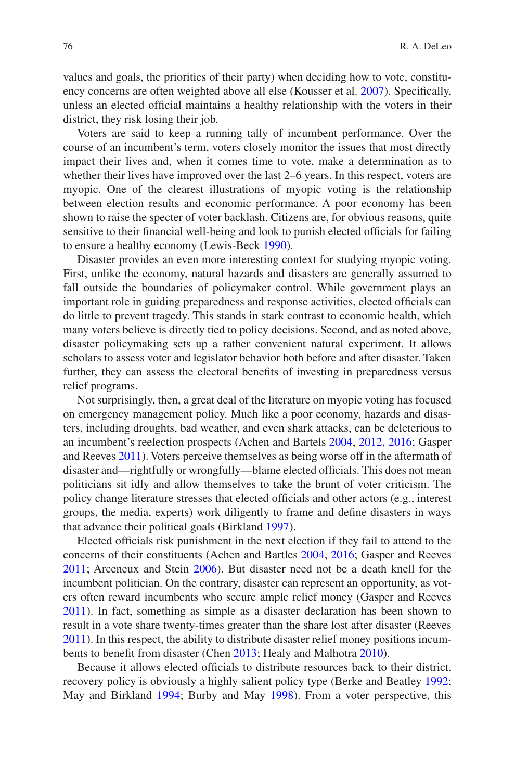values and goals, the priorities of their party) when deciding how to vote, constituency concerns are often weighted above all else (Kousser et al. [2007\)](#page-14-15). Specifically, unless an elected official maintains a healthy relationship with the voters in their district, they risk losing their job.

Voters are said to keep a running tally of incumbent performance. Over the course of an incumbent's term, voters closely monitor the issues that most directly impact their lives and, when it comes time to vote, make a determination as to whether their lives have improved over the last 2–6 years. In this respect, voters are myopic. One of the clearest illustrations of myopic voting is the relationship between election results and economic performance. A poor economy has been shown to raise the specter of voter backlash. Citizens are, for obvious reasons, quite sensitive to their financial well-being and look to punish elected officials for failing to ensure a healthy economy (Lewis-Beck [1990\)](#page-15-18).

Disaster provides an even more interesting context for studying myopic voting. First, unlike the economy, natural hazards and disasters are generally assumed to fall outside the boundaries of policymaker control. While government plays an important role in guiding preparedness and response activities, elected officials can do little to prevent tragedy. This stands in stark contrast to economic health, which many voters believe is directly tied to policy decisions. Second, and as noted above, disaster policymaking sets up a rather convenient natural experiment. It allows scholars to assess voter and legislator behavior both before and after disaster. Taken further, they can assess the electoral benefits of investing in preparedness versus relief programs.

Not surprisingly, then, a great deal of the literature on myopic voting has focused on emergency management policy. Much like a poor economy, hazards and disasters, including droughts, bad weather, and even shark attacks, can be deleterious to an incumbent's reelection prospects (Achen and Bartels [2004](#page-13-9), [2012](#page-13-10), [2016;](#page-13-11) Gasper and Reeves [2011](#page-14-16)). Voters perceive themselves as being worse off in the aftermath of disaster and—rightfully or wrongfully—blame elected officials. This does not mean politicians sit idly and allow themselves to take the brunt of voter criticism. The policy change literature stresses that elected officials and other actors (e.g., interest groups, the media, experts) work diligently to frame and define disasters in ways that advance their political goals (Birkland [1997\)](#page-13-0).

Elected officials risk punishment in the next election if they fail to attend to the concerns of their constituents (Achen and Bartles [2004](#page-13-9), [2016;](#page-13-11) Gasper and Reeves [2011;](#page-14-16) Arceneux and Stein [2006](#page-13-12)). But disaster need not be a death knell for the incumbent politician. On the contrary, disaster can represent an opportunity, as voters often reward incumbents who secure ample relief money (Gasper and Reeves [2011\)](#page-14-16). In fact, something as simple as a disaster declaration has been shown to result in a vote share twenty-times greater than the share lost after disaster (Reeves [2011\)](#page-15-19). In this respect, the ability to distribute disaster relief money positions incumbents to benefit from disaster (Chen [2013](#page-13-13); Healy and Malhotra [2010](#page-14-10)).

Because it allows elected officials to distribute resources back to their district, recovery policy is obviously a highly salient policy type (Berke and Beatley [1992;](#page-13-14) May and Birkland [1994;](#page-15-13) Burby and May [1998\)](#page-13-8). From a voter perspective, this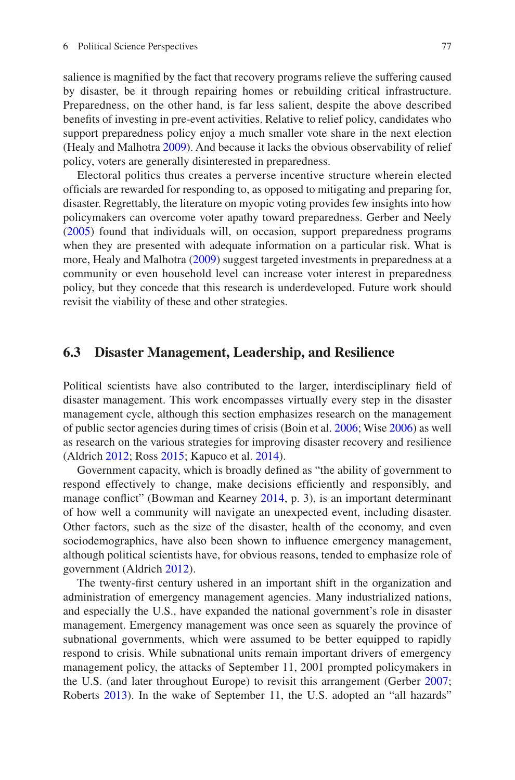salience is magnified by the fact that recovery programs relieve the suffering caused by disaster, be it through repairing homes or rebuilding critical infrastructure. Preparedness, on the other hand, is far less salient, despite the above described benefits of investing in pre-event activities. Relative to relief policy, candidates who support preparedness policy enjoy a much smaller vote share in the next election (Healy and Malhotra [2009](#page-14-9)). And because it lacks the obvious observability of relief policy, voters are generally disinterested in preparedness.

Electoral politics thus creates a perverse incentive structure wherein elected officials are rewarded for responding to, as opposed to mitigating and preparing for, disaster. Regrettably, the literature on myopic voting provides few insights into how policymakers can overcome voter apathy toward preparedness. Gerber and Neely [\(2005](#page-14-17)) found that individuals will, on occasion, support preparedness programs when they are presented with adequate information on a particular risk. What is more, Healy and Malhotra ([2009\)](#page-14-9) suggest targeted investments in preparedness at a community or even household level can increase voter interest in preparedness policy, but they concede that this research is underdeveloped. Future work should revisit the viability of these and other strategies.

# **6.3 Disaster Management, Leadership, and Resilience**

Political scientists have also contributed to the larger, interdisciplinary field of disaster management. This work encompasses virtually every step in the disaster management cycle, although this section emphasizes research on the management of public sector agencies during times of crisis (Boin et al. [2006;](#page-13-15) Wise [2006](#page-16-7)) as well as research on the various strategies for improving disaster recovery and resilience (Aldrich [2012](#page-13-16); Ross [2015](#page-15-20); Kapuco et al. [2014](#page-14-18)).

Government capacity, which is broadly defined as "the ability of government to respond effectively to change, make decisions efficiently and responsibly, and manage conflict" (Bowman and Kearney [2014,](#page-13-17) p. 3), is an important determinant of how well a community will navigate an unexpected event, including disaster. Other factors, such as the size of the disaster, health of the economy, and even sociodemographics, have also been shown to influence emergency management, although political scientists have, for obvious reasons, tended to emphasize role of government (Aldrich [2012](#page-13-16)).

The twenty-first century ushered in an important shift in the organization and administration of emergency management agencies. Many industrialized nations, and especially the U.S., have expanded the national government's role in disaster management. Emergency management was once seen as squarely the province of subnational governments, which were assumed to be better equipped to rapidly respond to crisis. While subnational units remain important drivers of emergency management policy, the attacks of September 11, 2001 prompted policymakers in the U.S. (and later throughout Europe) to revisit this arrangement (Gerber [2007;](#page-14-4) Roberts [2013\)](#page-15-10). In the wake of September 11, the U.S. adopted an "all hazards"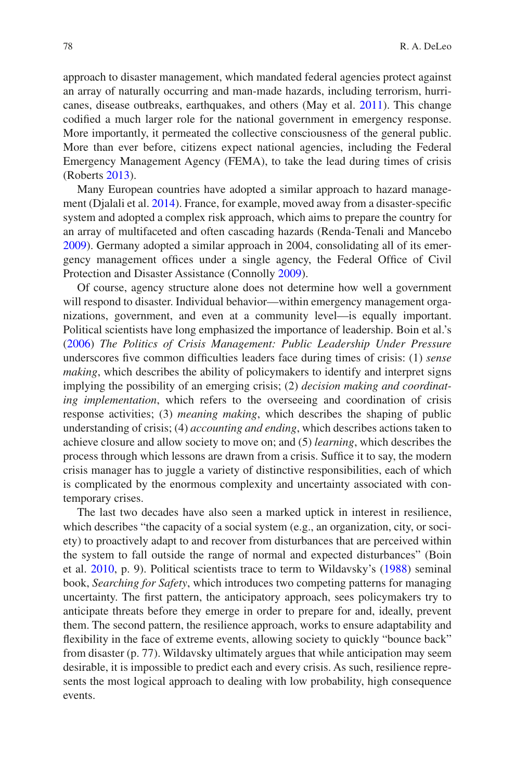approach to disaster management, which mandated federal agencies protect against an array of naturally occurring and man-made hazards, including terrorism, hurricanes, disease outbreaks, earthquakes, and others (May et al. [2011\)](#page-15-14). This change codified a much larger role for the national government in emergency response. More importantly, it permeated the collective consciousness of the general public. More than ever before, citizens expect national agencies, including the Federal Emergency Management Agency (FEMA), to take the lead during times of crisis (Roberts [2013\)](#page-15-10).

Many European countries have adopted a similar approach to hazard management (Djalali et al. [2014\)](#page-14-19). France, for example, moved away from a disaster-specific system and adopted a complex risk approach, which aims to prepare the country for an array of multifaceted and often cascading hazards (Renda-Tenali and Mancebo [2009\)](#page-15-21). Germany adopted a similar approach in 2004, consolidating all of its emergency management offices under a single agency, the Federal Office of Civil Protection and Disaster Assistance (Connolly [2009](#page-14-20)).

Of course, agency structure alone does not determine how well a government will respond to disaster. Individual behavior—within emergency management organizations, government, and even at a community level—is equally important. Political scientists have long emphasized the importance of leadership. Boin et al.'s [\(2006](#page-13-15)) *The Politics of Crisis Management: Public Leadership Under Pressure* underscores five common difficulties leaders face during times of crisis: (1) *sense making*, which describes the ability of policymakers to identify and interpret signs implying the possibility of an emerging crisis; (2) *decision making and coordinating implementation*, which refers to the overseeing and coordination of crisis response activities; (3) *meaning making*, which describes the shaping of public understanding of crisis; (4) *accounting and ending*, which describes actions taken to achieve closure and allow society to move on; and (5) *learning*, which describes the process through which lessons are drawn from a crisis. Suffice it to say, the modern crisis manager has to juggle a variety of distinctive responsibilities, each of which is complicated by the enormous complexity and uncertainty associated with contemporary crises.

The last two decades have also seen a marked uptick in interest in resilience, which describes "the capacity of a social system (e.g., an organization, city, or society) to proactively adapt to and recover from disturbances that are perceived within the system to fall outside the range of normal and expected disturbances" (Boin et al. [2010,](#page-13-18) p. 9). Political scientists trace to term to Wildavsky's ([1988\)](#page-16-8) seminal book, *Searching for Safety*, which introduces two competing patterns for managing uncertainty. The first pattern, the anticipatory approach, sees policymakers try to anticipate threats before they emerge in order to prepare for and, ideally, prevent them. The second pattern, the resilience approach, works to ensure adaptability and flexibility in the face of extreme events, allowing society to quickly "bounce back" from disaster (p. 77). Wildavsky ultimately argues that while anticipation may seem desirable, it is impossible to predict each and every crisis. As such, resilience represents the most logical approach to dealing with low probability, high consequence events.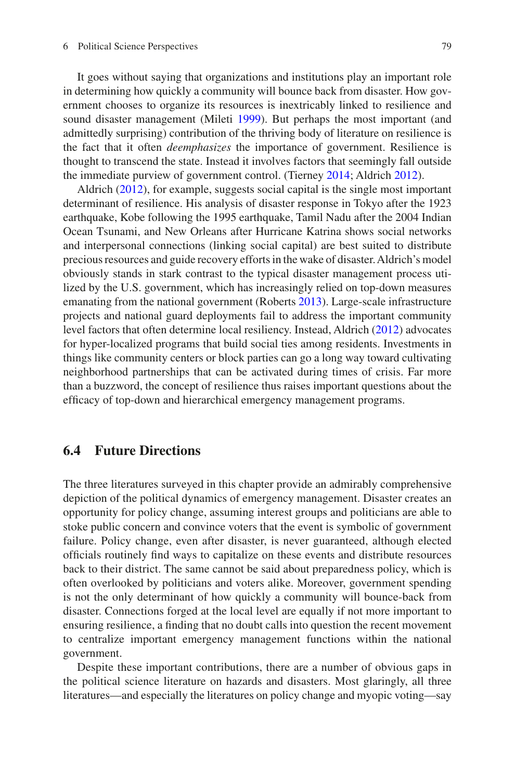It goes without saying that organizations and institutions play an important role in determining how quickly a community will bounce back from disaster. How government chooses to organize its resources is inextricably linked to resilience and sound disaster management (Mileti [1999\)](#page-15-15). But perhaps the most important (and admittedly surprising) contribution of the thriving body of literature on resilience is the fact that it often *deemphasizes* the importance of government. Resilience is thought to transcend the state. Instead it involves factors that seemingly fall outside the immediate purview of government control. (Tierney [2014;](#page-16-9) Aldrich [2012\)](#page-13-16).

Aldrich [\(2012](#page-13-16)), for example, suggests social capital is the single most important determinant of resilience. His analysis of disaster response in Tokyo after the 1923 earthquake, Kobe following the 1995 earthquake, Tamil Nadu after the 2004 Indian Ocean Tsunami, and New Orleans after Hurricane Katrina shows social networks and interpersonal connections (linking social capital) are best suited to distribute precious resources and guide recovery efforts in the wake of disaster. Aldrich's model obviously stands in stark contrast to the typical disaster management process utilized by the U.S. government, which has increasingly relied on top-down measures emanating from the national government (Roberts [2013\)](#page-15-10). Large-scale infrastructure projects and national guard deployments fail to address the important community level factors that often determine local resiliency. Instead, Aldrich ([2012\)](#page-13-16) advocates for hyper-localized programs that build social ties among residents. Investments in things like community centers or block parties can go a long way toward cultivating neighborhood partnerships that can be activated during times of crisis. Far more than a buzzword, the concept of resilience thus raises important questions about the efficacy of top-down and hierarchical emergency management programs.

#### **6.4 Future Directions**

The three literatures surveyed in this chapter provide an admirably comprehensive depiction of the political dynamics of emergency management. Disaster creates an opportunity for policy change, assuming interest groups and politicians are able to stoke public concern and convince voters that the event is symbolic of government failure. Policy change, even after disaster, is never guaranteed, although elected officials routinely find ways to capitalize on these events and distribute resources back to their district. The same cannot be said about preparedness policy, which is often overlooked by politicians and voters alike. Moreover, government spending is not the only determinant of how quickly a community will bounce-back from disaster. Connections forged at the local level are equally if not more important to ensuring resilience, a finding that no doubt calls into question the recent movement to centralize important emergency management functions within the national government.

Despite these important contributions, there are a number of obvious gaps in the political science literature on hazards and disasters. Most glaringly, all three literatures—and especially the literatures on policy change and myopic voting—say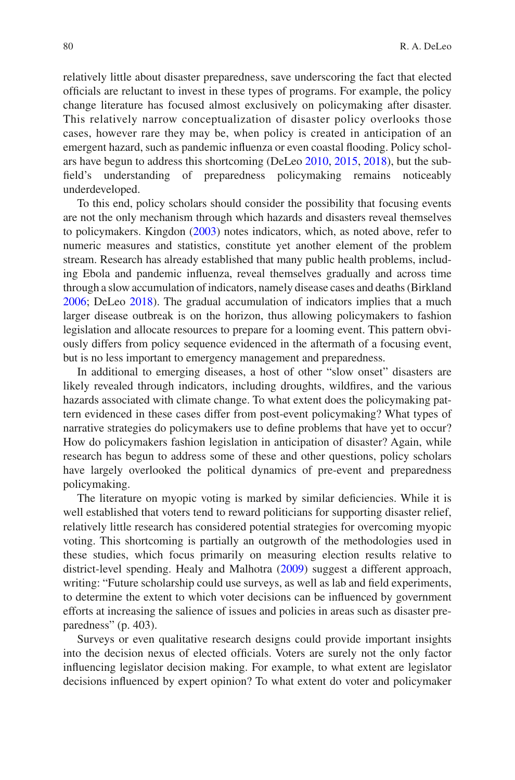relatively little about disaster preparedness, save underscoring the fact that elected officials are reluctant to invest in these types of programs. For example, the policy change literature has focused almost exclusively on policymaking after disaster. This relatively narrow conceptualization of disaster policy overlooks those cases, however rare they may be, when policy is created in anticipation of an emergent hazard, such as pandemic influenza or even coastal flooding. Policy scholars have begun to address this shortcoming (DeLeo [2010,](#page-14-21) [2015](#page-14-22), [2018](#page-14-23)), but the subfield's understanding of preparedness policymaking remains noticeably underdeveloped.

To this end, policy scholars should consider the possibility that focusing events are not the only mechanism through which hazards and disasters reveal themselves to policymakers. Kingdon ([2003\)](#page-14-12) notes indicators, which, as noted above, refer to numeric measures and statistics, constitute yet another element of the problem stream. Research has already established that many public health problems, including Ebola and pandemic influenza, reveal themselves gradually and across time through a slow accumulation of indicators, namely disease cases and deaths (Birkland [2006;](#page-13-2) DeLeo [2018\)](#page-14-23). The gradual accumulation of indicators implies that a much larger disease outbreak is on the horizon, thus allowing policymakers to fashion legislation and allocate resources to prepare for a looming event. This pattern obviously differs from policy sequence evidenced in the aftermath of a focusing event, but is no less important to emergency management and preparedness.

In additional to emerging diseases, a host of other "slow onset" disasters are likely revealed through indicators, including droughts, wildfires, and the various hazards associated with climate change. To what extent does the policymaking pattern evidenced in these cases differ from post-event policymaking? What types of narrative strategies do policymakers use to define problems that have yet to occur? How do policymakers fashion legislation in anticipation of disaster? Again, while research has begun to address some of these and other questions, policy scholars have largely overlooked the political dynamics of pre-event and preparedness policymaking.

The literature on myopic voting is marked by similar deficiencies. While it is well established that voters tend to reward politicians for supporting disaster relief, relatively little research has considered potential strategies for overcoming myopic voting. This shortcoming is partially an outgrowth of the methodologies used in these studies, which focus primarily on measuring election results relative to district-level spending. Healy and Malhotra ([2009\)](#page-14-9) suggest a different approach, writing: "Future scholarship could use surveys, as well as lab and field experiments, to determine the extent to which voter decisions can be influenced by government efforts at increasing the salience of issues and policies in areas such as disaster preparedness" (p. 403).

Surveys or even qualitative research designs could provide important insights into the decision nexus of elected officials. Voters are surely not the only factor influencing legislator decision making. For example, to what extent are legislator decisions influenced by expert opinion? To what extent do voter and policymaker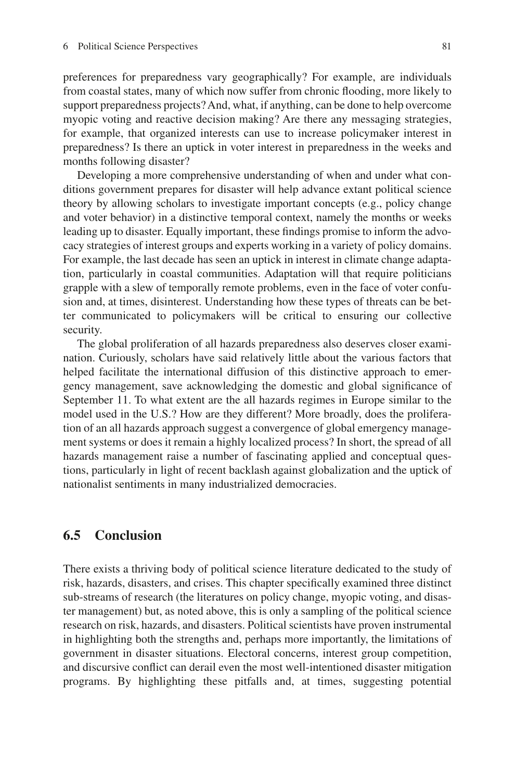preferences for preparedness vary geographically? For example, are individuals from coastal states, many of which now suffer from chronic flooding, more likely to support preparedness projects? And, what, if anything, can be done to help overcome myopic voting and reactive decision making? Are there any messaging strategies, for example, that organized interests can use to increase policymaker interest in preparedness? Is there an uptick in voter interest in preparedness in the weeks and months following disaster?

Developing a more comprehensive understanding of when and under what conditions government prepares for disaster will help advance extant political science theory by allowing scholars to investigate important concepts (e.g., policy change and voter behavior) in a distinctive temporal context, namely the months or weeks leading up to disaster. Equally important, these findings promise to inform the advocacy strategies of interest groups and experts working in a variety of policy domains. For example, the last decade has seen an uptick in interest in climate change adaptation, particularly in coastal communities. Adaptation will that require politicians grapple with a slew of temporally remote problems, even in the face of voter confusion and, at times, disinterest. Understanding how these types of threats can be better communicated to policymakers will be critical to ensuring our collective security.

The global proliferation of all hazards preparedness also deserves closer examination. Curiously, scholars have said relatively little about the various factors that helped facilitate the international diffusion of this distinctive approach to emergency management, save acknowledging the domestic and global significance of September 11. To what extent are the all hazards regimes in Europe similar to the model used in the U.S.? How are they different? More broadly, does the proliferation of an all hazards approach suggest a convergence of global emergency management systems or does it remain a highly localized process? In short, the spread of all hazards management raise a number of fascinating applied and conceptual questions, particularly in light of recent backlash against globalization and the uptick of nationalist sentiments in many industrialized democracies.

# **6.5 Conclusion**

There exists a thriving body of political science literature dedicated to the study of risk, hazards, disasters, and crises. This chapter specifically examined three distinct sub-streams of research (the literatures on policy change, myopic voting, and disaster management) but, as noted above, this is only a sampling of the political science research on risk, hazards, and disasters. Political scientists have proven instrumental in highlighting both the strengths and, perhaps more importantly, the limitations of government in disaster situations. Electoral concerns, interest group competition, and discursive conflict can derail even the most well-intentioned disaster mitigation programs. By highlighting these pitfalls and, at times, suggesting potential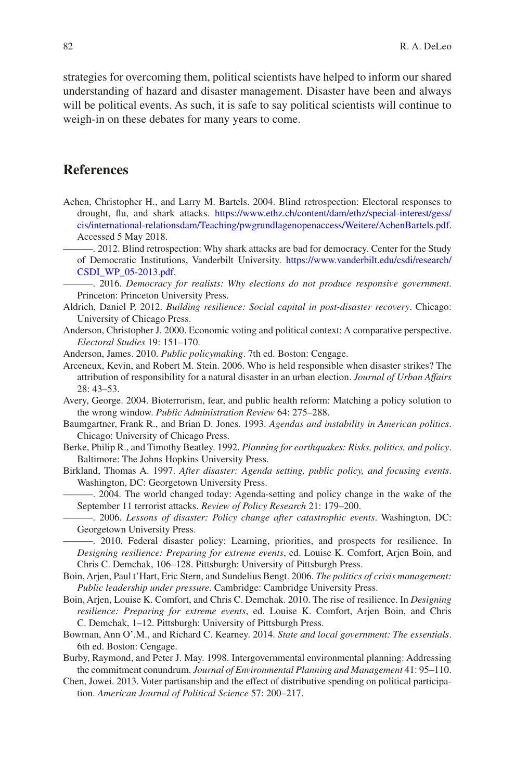strategies for overcoming them, political scientists have helped to inform our shared understanding of hazard and disaster management. Disaster have been and always will be political events. As such, it is safe to say political scientists will continue to weigh-in on these debates for many years to come.

# **References**

- <span id="page-13-9"></span>Achen, Christopher H., and Larry M. Bartels. 2004. Blind retrospection: Electoral responses to drought, flu, and shark attacks. [https://www.ethz.ch/content/dam/ethz/special-interest/gess/](https://www.ethz.ch/content/dam/ethz/special-interest/gess/cis/international-relationsdam/Teaching/pwgrundlagenopenaccess/Weitere/AchenBartels.pdf) [cis/international-relationsdam/Teaching/pwgrundlagenopenaccess/Weitere/AchenBartels.pdf](https://www.ethz.ch/content/dam/ethz/special-interest/gess/cis/international-relationsdam/Teaching/pwgrundlagenopenaccess/Weitere/AchenBartels.pdf). Accessed 5 May 2018.
- <span id="page-13-10"></span>-, 2012. Blind retrospection: Why shark attacks are bad for democracy. Center for the Study of Democratic Institutions, Vanderbilt University. [https://www.vanderbilt.edu/csdi/research/](https://www.vanderbilt.edu/csdi/research/CSDI_WP_05-2013.pdf) [CSDI\\_WP\\_05-2013.pdf](https://www.vanderbilt.edu/csdi/research/CSDI_WP_05-2013.pdf).
- <span id="page-13-11"></span>———. 2016. *Democracy for realists: Why elections do not produce responsive government*. Princeton: Princeton University Press.
- <span id="page-13-16"></span>Aldrich, Daniel P. 2012. *Building resilience: Social capital in post-disaster recovery*. Chicago: University of Chicago Press.
- <span id="page-13-4"></span>Anderson, Christopher J. 2000. Economic voting and political context: A comparative perspective. *Electoral Studies* 19: 151–170.
- <span id="page-13-6"></span>Anderson, James. 2010. *Public policymaking*. 7th ed. Boston: Cengage.
- <span id="page-13-12"></span>Arceneux, Kevin, and Robert M. Stein. 2006. Who is held responsible when disaster strikes? The attribution of responsibility for a natural disaster in an urban election. *Journal of Urban Affairs* 28: 43–53.
- <span id="page-13-7"></span>Avery, George. 2004. Bioterrorism, fear, and public health reform: Matching a policy solution to the wrong window. *Public Administration Review* 64: 275–288.
- <span id="page-13-5"></span>Baumgartner, Frank R., and Brian D. Jones. 1993. *Agendas and instability in American politics*. Chicago: University of Chicago Press.
- <span id="page-13-14"></span>Berke, Philip R., and Timothy Beatley. 1992. *Planning for earthquakes: Risks, politics, and policy*. Baltimore: The Johns Hopkins University Press.
- <span id="page-13-2"></span><span id="page-13-1"></span><span id="page-13-0"></span>Birkland, Thomas A. 1997. *After disaster: Agenda setting, public policy, and focusing events*. Washington, DC: Georgetown University Press.
	- ———. 2004. The world changed today: Agenda-setting and policy change in the wake of the September 11 terrorist attacks. *Review of Policy Research* 21: 179–200.
	- ———. 2006. *Lessons of disaster: Policy change after catastrophic events*. Washington, DC: Georgetown University Press.
	- ———. 2010. Federal disaster policy: Learning, priorities, and prospects for resilience. In *Designing resilience: Preparing for extreme events*, ed. Louise K. Comfort, Arjen Boin, and Chris C. Demchak, 106–128. Pittsburgh: University of Pittsburgh Press.
- <span id="page-13-15"></span><span id="page-13-3"></span>Boin, Arjen, Paul t'Hart, Eric Stern, and Sundelius Bengt. 2006. *The politics of crisis management: Public leadership under pressure*. Cambridge: Cambridge University Press.
- <span id="page-13-18"></span>Boin, Arjen, Louise K. Comfort, and Chris C. Demchak. 2010. The rise of resilience. In *Designing resilience: Preparing for extreme events*, ed. Louise K. Comfort, Arjen Boin, and Chris C. Demchak, 1–12. Pittsburgh: University of Pittsburgh Press.
- <span id="page-13-17"></span>Bowman, Ann O'.M., and Richard C. Kearney. 2014. *State and local government: The essentials*. 6th ed. Boston: Cengage.
- <span id="page-13-8"></span>Burby, Raymond, and Peter J. May. 1998. Intergovernmental environmental planning: Addressing the commitment conundrum. *Journal of Environmental Planning and Management* 41: 95–110.
- <span id="page-13-13"></span>Chen, Jowei. 2013. Voter partisanship and the effect of distributive spending on political participation. *American Journal of Political Science* 57: 200–217.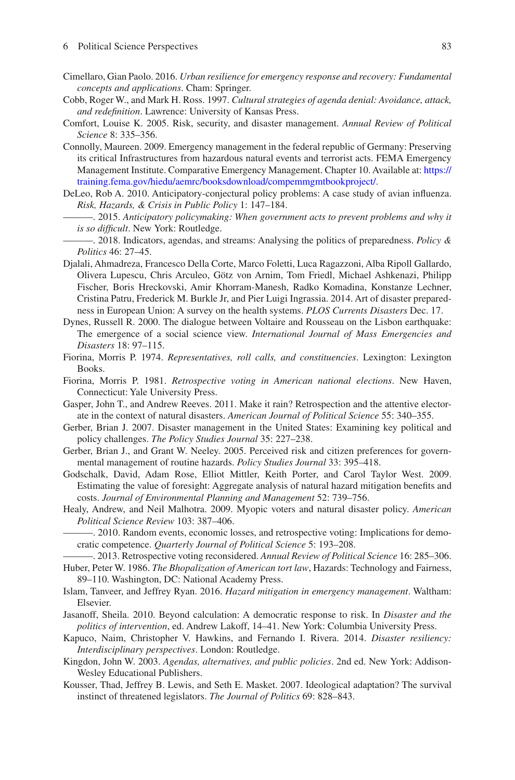- <span id="page-14-0"></span>Cimellaro, Gian Paolo. 2016. *Urban resilience for emergency response and recovery: Fundamental concepts and applications*. Cham: Springer.
- <span id="page-14-6"></span>Cobb, Roger W., and Mark H. Ross. 1997. *Cultural strategies of agenda denial: Avoidance, attack, and redefinition*. Lawrence: University of Kansas Press.
- <span id="page-14-2"></span>Comfort, Louise K. 2005. Risk, security, and disaster management. *Annual Review of Political Science* 8: 335–356.
- <span id="page-14-20"></span>Connolly, Maureen. 2009. Emergency management in the federal republic of Germany: Preserving its critical Infrastructures from hazardous natural events and terrorist acts. FEMA Emergency Management Institute. Comparative Emergency Management. Chapter 10. Available at: [https://](https://training.fema.gov/hiedu/aemrc/booksdownload/compemmgmtbookproject/) [training.fema.gov/hiedu/aemrc/booksdownload/compemmgmtbookproject/.](https://training.fema.gov/hiedu/aemrc/booksdownload/compemmgmtbookproject/)
- <span id="page-14-22"></span><span id="page-14-21"></span>DeLeo, Rob A. 2010. Anticipatory-conjectural policy problems: A case study of avian influenza. *Risk, Hazards, & Crisis in Public Policy* 1: 147–184.
	- ———. 2015. *Anticipatory policymaking: When government acts to prevent problems and why it is so difficult*. New York: Routledge.
	- ———. 2018. Indicators, agendas, and streams: Analysing the politics of preparedness. *Policy & Politics* 46: 27–45.
- <span id="page-14-23"></span><span id="page-14-19"></span>Djalali, Ahmadreza, Francesco Della Corte, Marco Foletti, Luca Ragazzoni, Alba Ripoll Gallardo, Olivera Lupescu, Chris Arculeo, Götz von Arnim, Tom Friedl, Michael Ashkenazi, Philipp Fischer, Boris Hreckovski, Amir Khorram-Manesh, Radko Komadina, Konstanze Lechner, Cristina Patru, Frederick M. Burkle Jr, and Pier Luigi Ingrassia. 2014. Art of disaster preparedness in European Union: A survey on the health systems. *PLOS Currents Disasters* Dec. 17.
- <span id="page-14-1"></span>Dynes, Russell R. 2000. The dialogue between Voltaire and Rousseau on the Lisbon earthquake: The emergence of a social science view. *International Journal of Mass Emergencies and Disasters* 18: 97–115.
- <span id="page-14-7"></span>Fiorina, Morris P. 1974. *Representatives, roll calls, and constituencies*. Lexington: Lexington Books.
- <span id="page-14-8"></span>Fiorina, Morris P. 1981. *Retrospective voting in American national elections*. New Haven, Connecticut: Yale University Press.
- <span id="page-14-16"></span>Gasper, John T., and Andrew Reeves. 2011. Make it rain? Retrospection and the attentive electorate in the context of natural disasters. *American Journal of Political Science* 55: 340–355.
- <span id="page-14-4"></span>Gerber, Brian J. 2007. Disaster management in the United States: Examining key political and policy challenges. *The Policy Studies Journal* 35: 227–238.
- <span id="page-14-17"></span>Gerber, Brian J., and Grant W. Neeley. 2005. Perceived risk and citizen preferences for governmental management of routine hazards. *Policy Studies Journal* 33: 395–418.
- <span id="page-14-14"></span>Godschalk, David, Adam Rose, Elliot Mittler, Keith Porter, and Carol Taylor West. 2009. Estimating the value of foresight: Aggregate analysis of natural hazard mitigation benefits and costs. *Journal of Environmental Planning and Management* 52: 739–756.
- <span id="page-14-10"></span><span id="page-14-9"></span>Healy, Andrew, and Neil Malhotra. 2009. Myopic voters and natural disaster policy. *American Political Science Review* 103: 387–406.
	- ———. 2010. Random events, economic losses, and retrospective voting: Implications for democratic competence. *Quarterly Journal of Political Science* 5: 193–208.

<span id="page-14-11"></span>———. 2013. Retrospective voting reconsidered. *Annual Review of Political Science* 16: 285–306.

- <span id="page-14-13"></span>Huber, Peter W. 1986. *The Bhopalization of American tort law*, Hazards: Technology and Fairness, 89–110. Washington, DC: National Academy Press.
- <span id="page-14-3"></span>Islam, Tanveer, and Jeffrey Ryan. 2016. *Hazard mitigation in emergency management*. Waltham: Elsevier.
- <span id="page-14-5"></span>Jasanoff, Sheila. 2010. Beyond calculation: A democratic response to risk. In *Disaster and the politics of intervention*, ed. Andrew Lakoff, 14–41. New York: Columbia University Press.
- <span id="page-14-18"></span>Kapuco, Naim, Christopher V. Hawkins, and Fernando I. Rivera. 2014. *Disaster resiliency: Interdisciplinary perspectives*. London: Routledge.
- <span id="page-14-12"></span>Kingdon, John W. 2003. *Agendas, alternatives, and public policies*. 2nd ed. New York: Addison-Wesley Educational Publishers.
- <span id="page-14-15"></span>Kousser, Thad, Jeffrey B. Lewis, and Seth E. Masket. 2007. Ideological adaptation? The survival instinct of threatened legislators. *The Journal of Politics* 69: 828–843.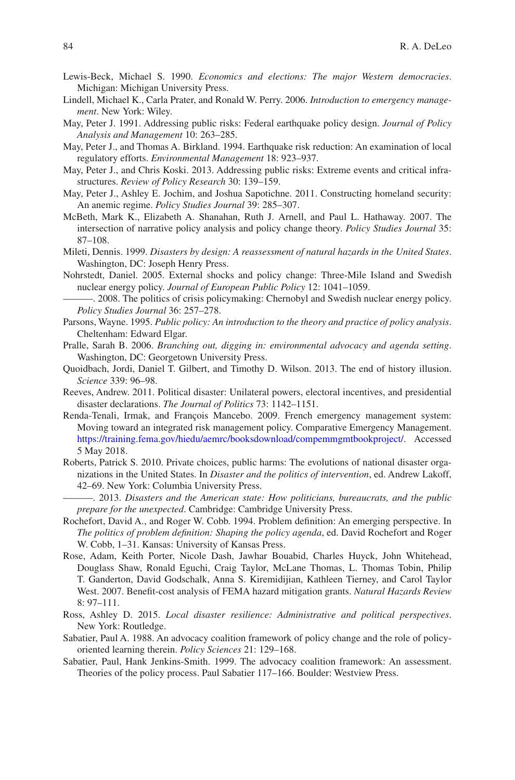- <span id="page-15-18"></span>Lewis-Beck, Michael S. 1990. *Economics and elections: The major Western democracies*. Michigan: Michigan University Press.
- <span id="page-15-0"></span>Lindell, Michael K., Carla Prater, and Ronald W. Perry. 2006. *Introduction to emergency management*. New York: Wiley.
- <span id="page-15-12"></span>May, Peter J. 1991. Addressing public risks: Federal earthquake policy design. *Journal of Policy Analysis and Management* 10: 263–285.
- <span id="page-15-13"></span>May, Peter J., and Thomas A. Birkland. 1994. Earthquake risk reduction: An examination of local regulatory efforts. *Environmental Management* 18: 923–937.
- <span id="page-15-11"></span>May, Peter J., and Chris Koski. 2013. Addressing public risks: Extreme events and critical infrastructures. *Review of Policy Research* 30: 139–159.
- <span id="page-15-14"></span>May, Peter J., Ashley E. Jochim, and Joshua Sapotichne. 2011. Constructing homeland security: An anemic regime. *Policy Studies Journal* 39: 285–307.
- <span id="page-15-9"></span>McBeth, Mark K., Elizabeth A. Shanahan, Ruth J. Arnell, and Paul L. Hathaway. 2007. The intersection of narrative policy analysis and policy change theory. *Policy Studies Journal* 35: 87–108.
- <span id="page-15-15"></span>Mileti, Dennis. 1999. *Disasters by design: A reassessment of natural hazards in the United States*. Washington, DC: Joseph Henry Press.
- <span id="page-15-6"></span>Nohrstedt, Daniel. 2005. External shocks and policy change: Three-Mile Island and Swedish nuclear energy policy. *Journal of European Public Policy* 12: 1041–1059.
- <span id="page-15-7"></span>———. 2008. The politics of crisis policymaking: Chernobyl and Swedish nuclear energy policy. *Policy Studies Journal* 36: 257–278.
- <span id="page-15-2"></span>Parsons, Wayne. 1995. *Public policy: An introduction to the theory and practice of policy analysis*. Cheltenham: Edward Elgar.
- <span id="page-15-5"></span>Pralle, Sarah B. 2006. *Branching out, digging in: environmental advocacy and agenda setting*. Washington, DC: Georgetown University Press.
- <span id="page-15-17"></span>Quoidbach, Jordi, Daniel T. Gilbert, and Timothy D. Wilson. 2013. The end of history illusion. *Science* 339: 96–98.
- <span id="page-15-19"></span>Reeves, Andrew. 2011. Political disaster: Unilateral powers, electoral incentives, and presidential disaster declarations. *The Journal of Politics* 73: 1142–1151.
- <span id="page-15-21"></span>Renda-Tenali, Irmak, and François Mancebo. 2009. French emergency management system: Moving toward an integrated risk management policy. Comparative Emergency Management. [https://training.fema.gov/hiedu/aemrc/booksdownload/compemmgmtbookproject/.](https://training.fema.gov/hiedu/aemrc/booksdownload/compemmgmtbookproject/) Accessed 5 May 2018.
- <span id="page-15-1"></span>Roberts, Patrick S. 2010. Private choices, public harms: The evolutions of national disaster organizations in the United States. In *Disaster and the politics of intervention*, ed. Andrew Lakoff, 42–69. New York: Columbia University Press.
- <span id="page-15-10"></span>———. 2013. *Disasters and the American state: How politicians, bureaucrats, and the public prepare for the unexpected*. Cambridge: Cambridge University Press.
- <span id="page-15-8"></span>Rochefort, David A., and Roger W. Cobb. 1994. Problem definition: An emerging perspective. In *The politics of problem definition: Shaping the policy agenda*, ed. David Rochefort and Roger W. Cobb, 1–31. Kansas: University of Kansas Press.
- <span id="page-15-16"></span>Rose, Adam, Keith Porter, Nicole Dash, Jawhar Bouabid, Charles Huyck, John Whitehead, Douglass Shaw, Ronald Eguchi, Craig Taylor, McLane Thomas, L. Thomas Tobin, Philip T. Ganderton, David Godschalk, Anna S. Kiremidijian, Kathleen Tierney, and Carol Taylor West. 2007. Benefit-cost analysis of FEMA hazard mitigation grants. *Natural Hazards Review* 8: 97–111.
- <span id="page-15-20"></span>Ross, Ashley D. 2015. *Local disaster resilience: Administrative and political perspectives*. New York: Routledge.
- <span id="page-15-3"></span>Sabatier, Paul A. 1988. An advocacy coalition framework of policy change and the role of policyoriented learning therein. *Policy Sciences* 21: 129–168.
- <span id="page-15-4"></span>Sabatier, Paul, Hank Jenkins-Smith. 1999. The advocacy coalition framework: An assessment. Theories of the policy process. Paul Sabatier 117–166. Boulder: Westview Press.